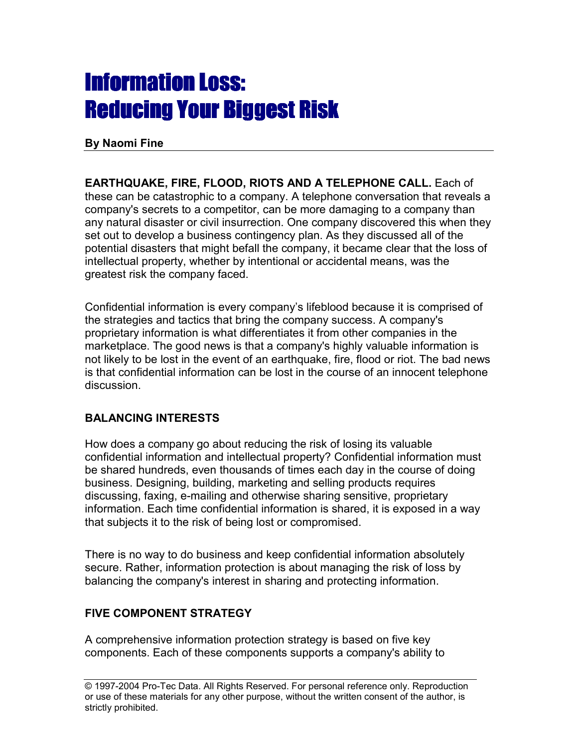# **Information Loss:** Reducing Your Biggest Risk

**By Naomi Fine**

**EARTHQUAKE, FIRE, FLOOD, RIOTS AND A TELEPHONE CALL.** Each of these can be catastrophic to a company. A telephone conversation that reveals a company's secrets to a competitor, can be more damaging to a company than any natural disaster or civil insurrection. One company discovered this when they set out to develop a business contingency plan. As they discussed all of the potential disasters that might befall the company, it became clear that the loss of intellectual property, whether by intentional or accidental means, was the greatest risk the company faced.

Confidential information is every company's lifeblood because it is comprised of the strategies and tactics that bring the company success. A company's proprietary information is what differentiates it from other companies in the marketplace. The good news is that a company's highly valuable information is not likely to be lost in the event of an earthquake, fire, flood or riot. The bad news is that confidential information can be lost in the course of an innocent telephone discussion.

# **BALANCING INTERESTS**

How does a company go about reducing the risk of losing its valuable confidential information and intellectual property? Confidential information must be shared hundreds, even thousands of times each day in the course of doing business. Designing, building, marketing and selling products requires discussing, faxing, e-mailing and otherwise sharing sensitive, proprietary information. Each time confidential information is shared, it is exposed in a way that subjects it to the risk of being lost or compromised.

There is no way to do business and keep confidential information absolutely secure. Rather, information protection is about managing the risk of loss by balancing the company's interest in sharing and protecting information.

# **FIVE COMPONENT STRATEGY**

A comprehensive information protection strategy is based on five key components. Each of these components supports a company's ability to

<sup>© 1997-2004</sup> Pro-Tec Data. All Rights Reserved. For personal reference only. Reproduction or use of these materials for any other purpose, without the written consent of the author, is strictly prohibited.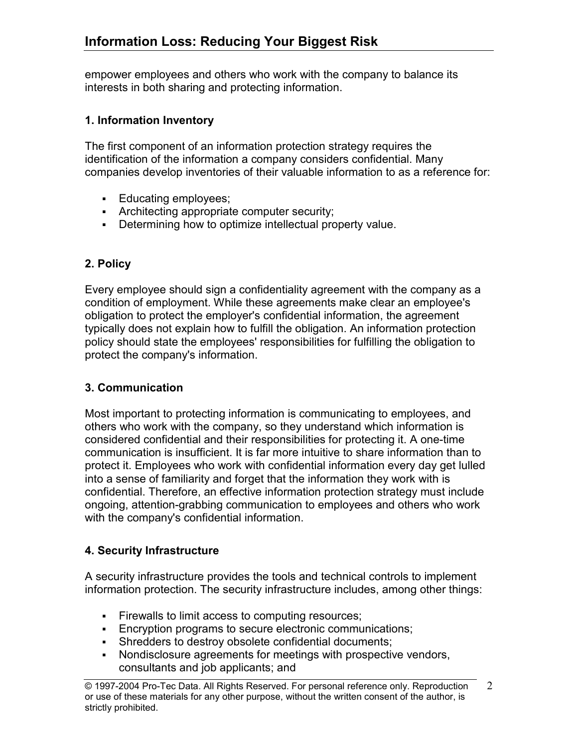empower employees and others who work with the company to balance its interests in both sharing and protecting information.

### **1. Information Inventory**

The first component of an information protection strategy requires the identification of the information a company considers confidential. Many companies develop inventories of their valuable information to as a reference for:

- **Educating employees:**
- **Architecting appropriate computer security;**
- Determining how to optimize intellectual property value.

# **2. Policy**

Every employee should sign a confidentiality agreement with the company as a condition of employment. While these agreements make clear an employee's obligation to protect the employer's confidential information, the agreement typically does not explain how to fulfill the obligation. An information protection policy should state the employees' responsibilities for fulfilling the obligation to protect the company's information.

#### **3. Communication**

Most important to protecting information is communicating to employees, and others who work with the company, so they understand which information is considered confidential and their responsibilities for protecting it. A one-time communication is insufficient. It is far more intuitive to share information than to protect it. Employees who work with confidential information every day get lulled into a sense of familiarity and forget that the information they work with is confidential. Therefore, an effective information protection strategy must include ongoing, attention-grabbing communication to employees and others who work with the company's confidential information.

# **4. Security Infrastructure**

A security infrastructure provides the tools and technical controls to implement information protection. The security infrastructure includes, among other things:

- Firewalls to limit access to computing resources;
- **Encryption programs to secure electronic communications;**
- Shredders to destroy obsolete confidential documents;
- Nondisclosure agreements for meetings with prospective vendors, consultants and job applicants; and

<sup>© 1997-2004</sup> Pro-Tec Data. All Rights Reserved. For personal reference only. Reproduction or use of these materials for any other purpose, without the written consent of the author, is strictly prohibited.  $\mathcal{L}$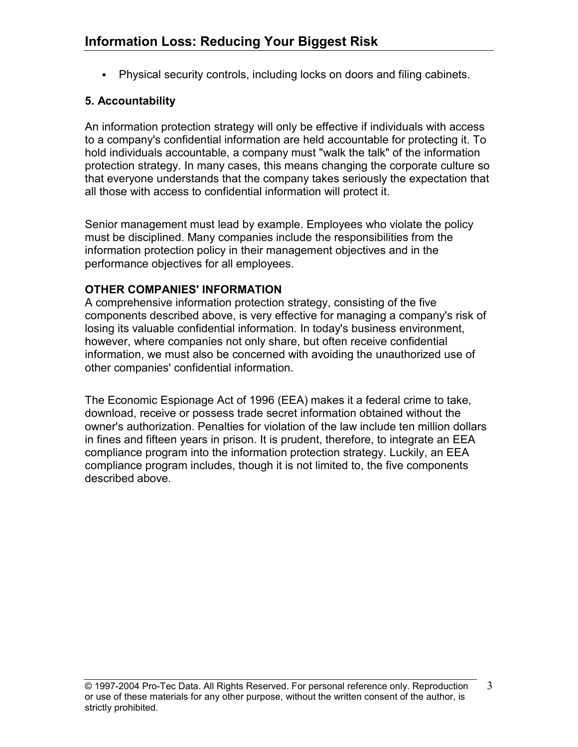Physical security controls, including locks on doors and filing cabinets.

# **5. Accountability**

An information protection strategy will only be effective if individuals with access to a company's confidential information are held accountable for protecting it. To hold individuals accountable, a company must "walk the talk" of the information protection strategy. In many cases, this means changing the corporate culture so that everyone understands that the company takes seriously the expectation that all those with access to confidential information will protect it.

Senior management must lead by example. Employees who violate the policy must be disciplined. Many companies include the responsibilities from the information protection policy in their management objectives and in the performance objectives for all employees.

# **OTHER COMPANIES' INFORMATION**

A comprehensive information protection strategy, consisting of the five components described above, is very effective for managing a company's risk of losing its valuable confidential information. In today's business environment, however, where companies not only share, but often receive confidential information, we must also be concerned with avoiding the unauthorized use of other companies' confidential information.

The Economic Espionage Act of 1996 (EEA) makes it a federal crime to take, download, receive or possess trade secret information obtained without the owner's authorization. Penalties for violation of the law include ten million dollars in fines and fifteen years in prison. It is prudent, therefore, to integrate an EEA compliance program into the information protection strategy. Luckily, an EEA compliance program includes, though it is not limited to, the five components described above.